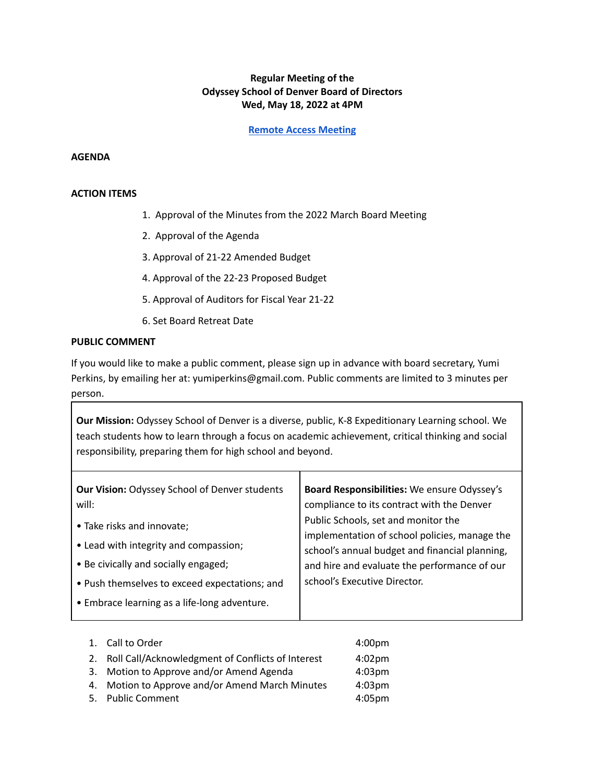## **Regular Meeting of the Odyssey School of Denver Board of Directors Wed, May 18, 2022 at 4PM**

**Remote Access [Meeting](https://us02web.zoom.us/j/89655159474?pwd=c3BMQUdvS054YmFkMEx2RXNYSzRHZz09#success)**

## **AGENDA**

## **ACTION ITEMS**

- 1. Approval of the Minutes from the 2022 March Board Meeting
- 2. Approval of the Agenda
- 3. Approval of 21-22 Amended Budget
- 4. Approval of the 22-23 Proposed Budget
- 5. Approval of Auditors for Fiscal Year 21-22
- 6. Set Board Retreat Date

## **PUBLIC COMMENT**

If you would like to make a public comment, please sign up in advance with board secretary, Yumi Perkins, by emailing her at: yumiperkins@gmail.com. Public comments are limited to 3 minutes per person.

**Our Mission:** Odyssey School of Denver is a diverse, public, K-8 Expeditionary Learning school. We teach students how to learn through a focus on academic achievement, critical thinking and social responsibility, preparing them for high school and beyond.

| <b>Our Vision: Odyssey School of Denver students</b> | Board Responsibilities: We ensure Odyssey's    |
|------------------------------------------------------|------------------------------------------------|
| will:                                                | compliance to its contract with the Denver     |
| • Take risks and innovate;                           | Public Schools, set and monitor the            |
|                                                      | implementation of school policies, manage the  |
| • Lead with integrity and compassion;                | school's annual budget and financial planning, |
| • Be civically and socially engaged;                 | and hire and evaluate the performance of our   |
| • Push themselves to exceed expectations; and        | school's Executive Director.                   |
| • Embrace learning as a life-long adventure.         |                                                |
|                                                      |                                                |

|    | 1. Call to Order                                  | 4:00 <sub>pm</sub> |
|----|---------------------------------------------------|--------------------|
| 2. | Roll Call/Acknowledgment of Conflicts of Interest | $4:02 \text{pm}$   |
|    | 3. Motion to Approve and/or Amend Agenda          | 4:03 <sub>pm</sub> |
|    | 4. Motion to Approve and/or Amend March Minutes   | 4:03 <sub>pm</sub> |
|    | 5. Public Comment                                 | 4:05 <sub>pm</sub> |